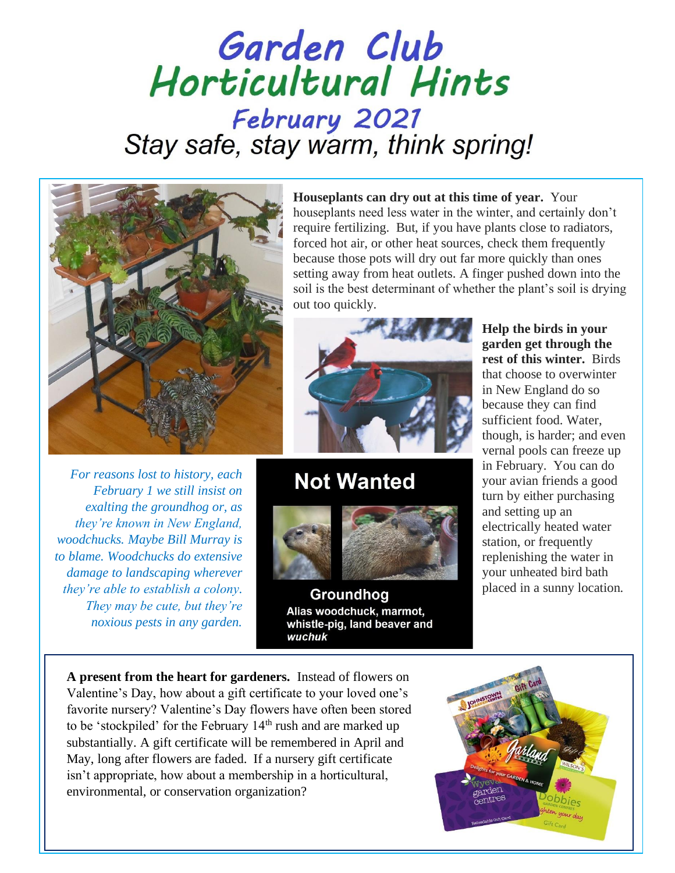## Garden Club Horticultural Hints February 2021 Stay safe, stay warm, think spring!



*For reasons lost to history, each February 1 we still insist on exalting the groundhog or, as they're known in New England, woodchucks. Maybe Bill Murray is to blame. Woodchucks do extensive damage to landscaping wherever they're able to establish a colony. They may be cute, but they're noxious pests in any garden.* 

**Houseplants can dry out at this time of year.** Your houseplants need less water in the winter, and certainly don't require fertilizing. But, if you have plants close to radiators, forced hot air, or other heat sources, check them frequently because those pots will dry out far more quickly than ones setting away from heat outlets. A finger pushed down into the soil is the best determinant of whether the plant's soil is drying out too quickly.



## **Not Wanted**



Groundhog Alias woodchuck, marmot, whistle-pig, land beaver and wuchuk

**Help the birds in your garden get through the rest of this winter.** Birds that choose to overwinter in New England do so because they can find sufficient food. Water, though, is harder; and even vernal pools can freeze up in February. You can do your avian friends a good turn by either purchasing and setting up an electrically heated water station, or frequently replenishing the water in your unheated bird bath placed in a sunny location.

**A present from the heart for gardeners.** Instead of flowers on Valentine's Day, how about a gift certificate to your loved one's favorite nursery? Valentine's Day flowers have often been stored to be 'stockpiled' for the February 14<sup>th</sup> rush and are marked up substantially. A gift certificate will be remembered in April and May, long after flowers are faded. If a nursery gift certificate isn't appropriate, how about a membership in a horticultural, environmental, or conservation organization?